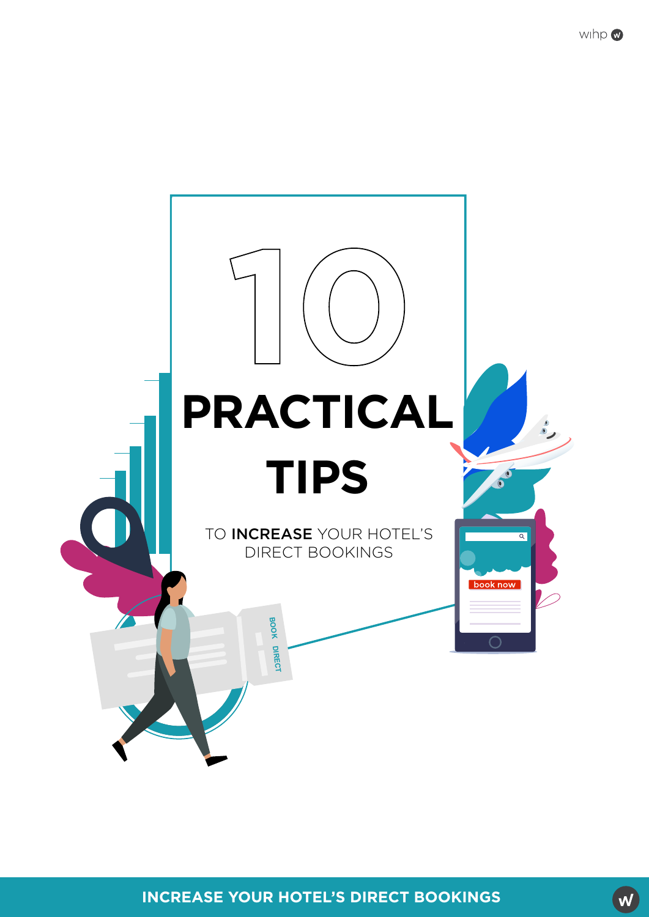



**INCREASE YOUR HOTEL'S DIRECT BOOKINGS**

W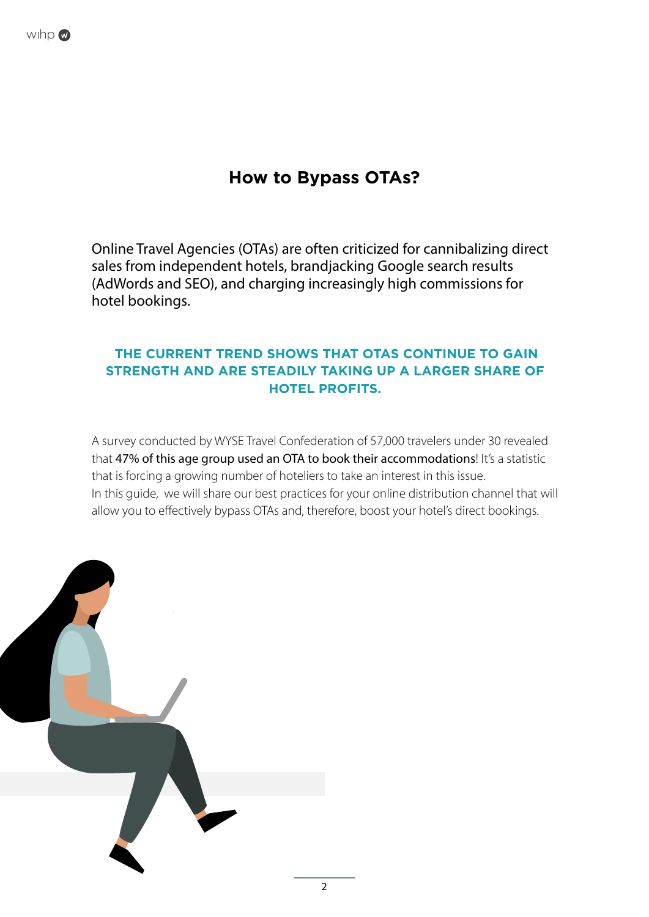

#### **How to Bypass OTAs?**

Online Travel Agencies (OTAs) are often criticized for cannibalizing direct sales from independent hotels, brandjacking Google search results (AdWords and SEO), and charging increasingly high commissions for hotel bookings.

#### **THE CURRENT TREND SHOWS THAT OTAS CONTINUE TO GAIN STRENGTH AND ARE STEADILY TAKING UP A LARGER SHARE OF HOTEL PROFITS.**

A survey conducted by WYSE Travel Confederation of 57,000 travelers under 30 revealed that 47% of this age group used an OTA to book their accommodations! It's a statistic that is forcing a growing number of hoteliers to take an interest in this issue. In this guide, we will share our best practices for your online distribution channel that will allow you to effectively bypass OTAs and, therefore, boost your hotel's direct bookings.

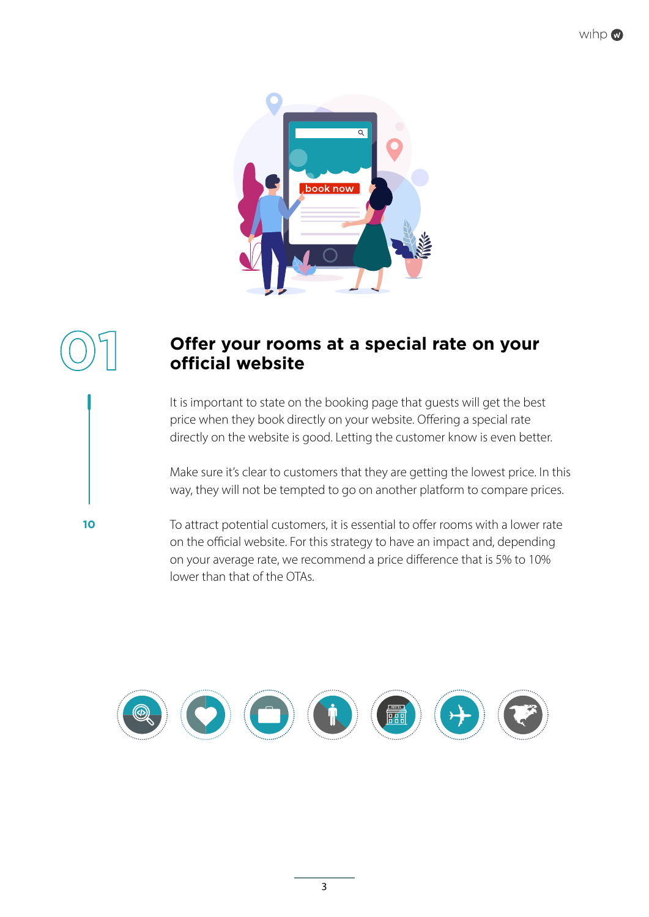

#### **Offer your rooms at a special rate on your official website**

**01**

**10**

It is important to state on the booking page that guests will get the best price when they book directly on your website. Offering a special rate directly on the website is good. Letting the customer know is even better.

Make sure it's clear to customers that they are getting the lowest price. In this way, they will not be tempted to go on another platform to compare prices.

To attract potential customers, it is essential to offer rooms with a lower rate on the official website. For this strategy to have an impact and, depending on your average rate, we recommend a price difference that is 5% to 10% lower than that of the OTAs.

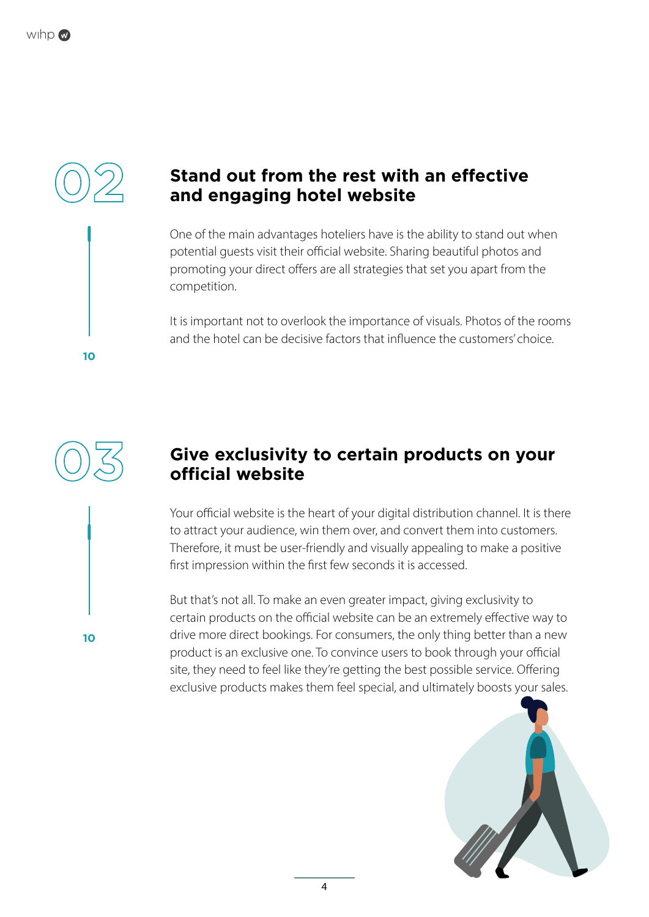

#### **Stand out from the rest with an effective and engaging hotel website**

One of the main advantages hoteliers have is the ability to stand out when potential guests visit their official website. Sharing beautiful photos and promoting your direct offers are all strategies that set you apart from the competition.

It is important not to overlook the importance of visuals. Photos of the rooms and the hotel can be decisive factors that influence the customers' choice.



**10**

**10**

#### **Give exclusivity to certain products on your official website**

Your official website is the heart of your digital distribution channel. It is there to attract your audience, win them over, and convert them into customers. Therefore, it must be user-friendly and visually appealing to make a positive first impression within the first few seconds it is accessed.

But that's not all. To make an even greater impact, giving exclusivity to certain products on the official website can be an extremely effective way to drive more direct bookings. For consumers, the only thing better than a new product is an exclusive one. To convince users to book through your official site, they need to feel like they're getting the best possible service. Offering exclusive products makes them feel special, and ultimately boosts your sales.

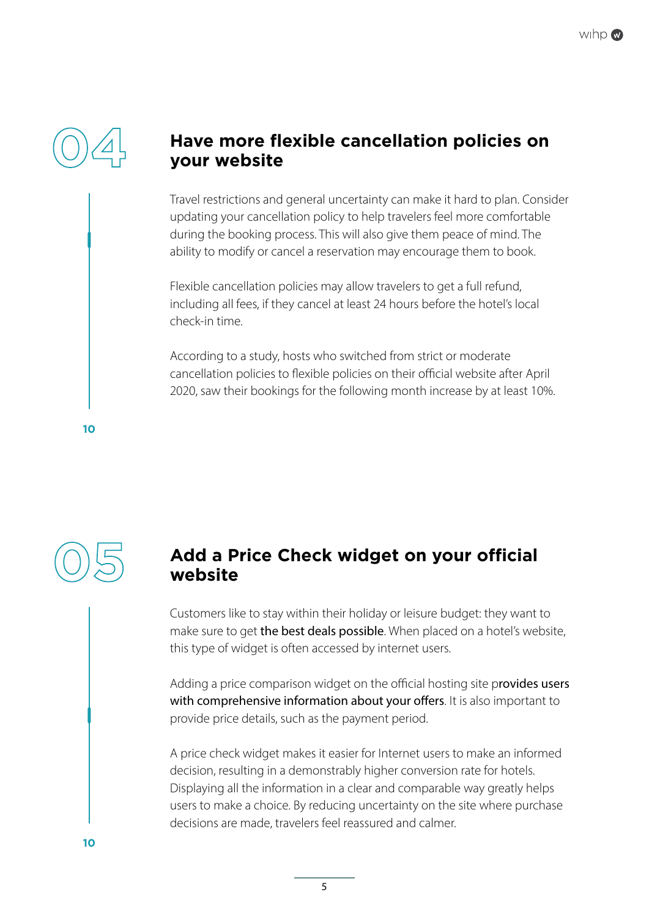

#### **Have more flexible cancellation policies on your website**

Travel restrictions and general uncertainty can make it hard to plan. Consider updating your cancellation policy to help travelers feel more comfortable during the booking process. This will also give them peace of mind. The ability to modify or cancel a reservation may encourage them to book.

Flexible cancellation policies may allow travelers to get a full refund, including all fees, if they cancel at least 24 hours before the hotel's local check-in time.

According to a study, hosts who switched from strict or moderate cancellation policies to flexible policies on their official website after April 2020, saw their bookings for the following month increase by at least 10%.

**10**



#### **Add a Price Check widget on your official website**

Customers like to stay within their holiday or leisure budget: they want to make sure to get the best deals possible. When placed on a hotel's website, this type of widget is often accessed by internet users.

Adding a price comparison widget on the official hosting site provides users with comprehensive information about your offers. It is also important to provide price details, such as the payment period.

A price check widget makes it easier for Internet users to make an informed decision, resulting in a demonstrably higher conversion rate for hotels. Displaying all the information in a clear and comparable way greatly helps users to make a choice. By reducing uncertainty on the site where purchase decisions are made, travelers feel reassured and calmer.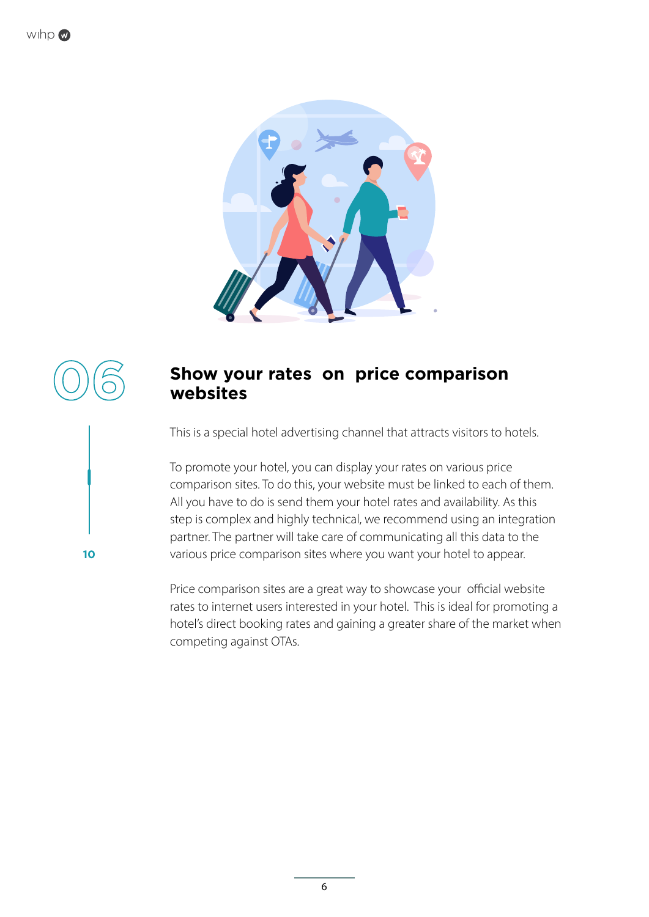

# **06**

**10**

#### **Show your rates on price comparison websites**

This is a special hotel advertising channel that attracts visitors to hotels.

To promote your hotel, you can display your rates on various price comparison sites. To do this, your website must be linked to each of them. All you have to do is send them your hotel rates and availability. As this step is complex and highly technical, we recommend using an integration partner. The partner will take care of communicating all this data to the various price comparison sites where you want your hotel to appear.

Price comparison sites are a great way to showcase your official website rates to internet users interested in your hotel. This is ideal for promoting a hotel's direct booking rates and gaining a greater share of the market when competing against OTAs.

6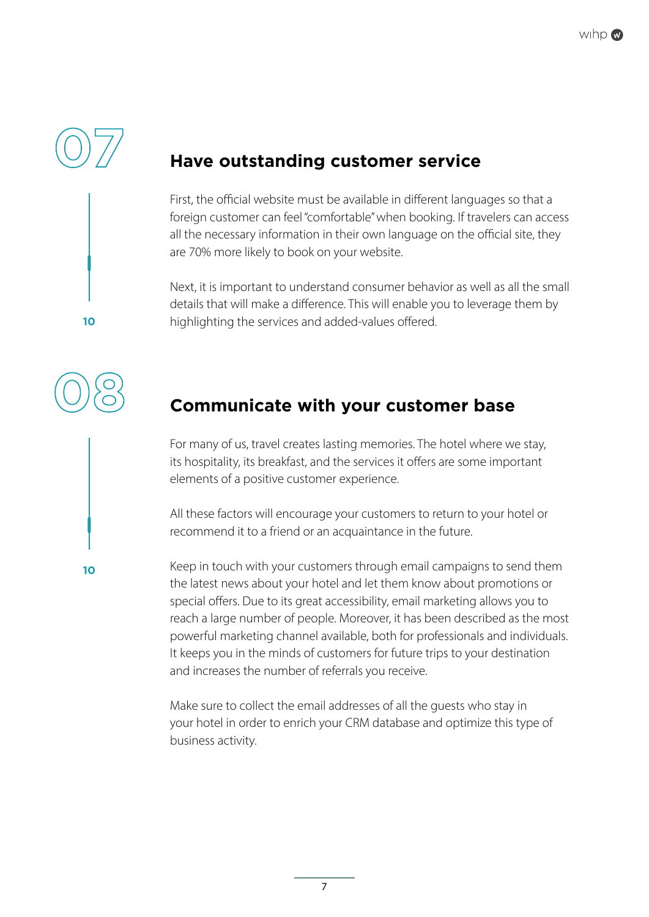

**10**

**08**

**10**

## **Have outstanding customer service**

First, the official website must be available in different languages so that a foreign customer can feel "comfortable" when booking. If travelers can access all the necessary information in their own language on the official site, they are 70% more likely to book on your website.

Next, it is important to understand consumer behavior as well as all the small details that will make a difference. This will enable you to leverage them by highlighting the services and added-values offered.

## **Communicate with your customer base**

For many of us, travel creates lasting memories. The hotel where we stay, its hospitality, its breakfast, and the services it offers are some important elements of a positive customer experience.

All these factors will encourage your customers to return to your hotel or recommend it to a friend or an acquaintance in the future.

Keep in touch with your customers through email campaigns to send them the latest news about your hotel and let them know about promotions or special offers. Due to its great accessibility, email marketing allows you to reach a large number of people. Moreover, it has been described as the most powerful marketing channel available, both for professionals and individuals. It keeps you in the minds of customers for future trips to your destination and increases the number of referrals you receive.

Make sure to collect the email addresses of all the guests who stay in your hotel in order to enrich your CRM database and optimize this type of business activity.

7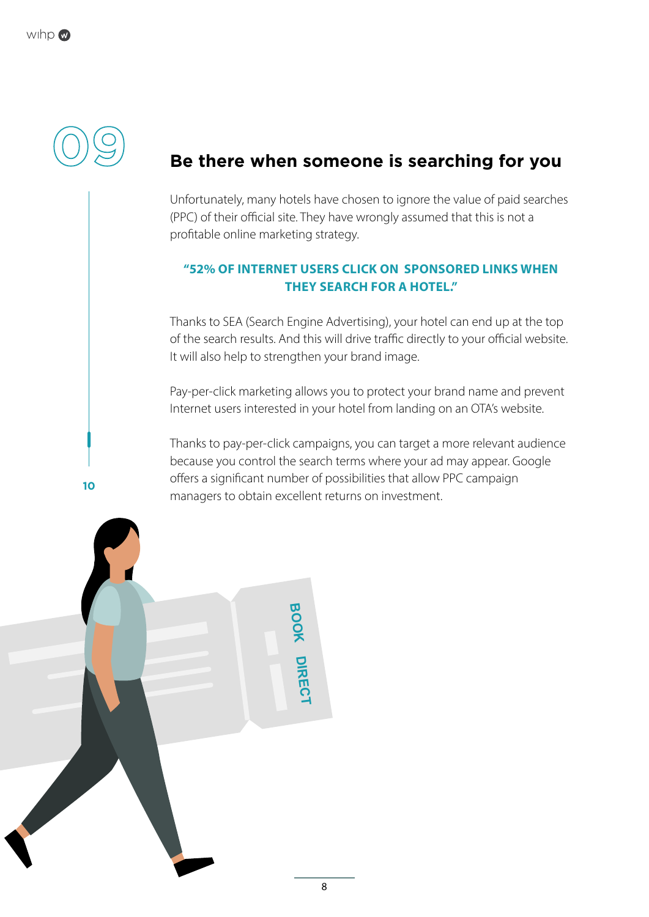

#### **Be there when someone is searching for you**

Unfortunately, many hotels have chosen to ignore the value of paid searches (PPC) of their official site. They have wrongly assumed that this is not a profitable online marketing strategy.

#### **"52% OF INTERNET USERS CLICK ON SPONSORED LINKS WHEN THEY SEARCH FOR A HOTEL."**

Thanks to SEA (Search Engine Advertising), your hotel can end up at the top of the search results. And this will drive traffic directly to your official website. It will also help to strengthen your brand image.

Pay-per-click marketing allows you to protect your brand name and prevent Internet users interested in your hotel from landing on an OTA's website.

Thanks to pay-per-click campaigns, you can target a more relevant audience because you control the search terms where your ad may appear. Google offers a significant number of possibilities that allow PPC campaign managers to obtain excellent returns on investment.

> **BOOK DIRECT**

**10**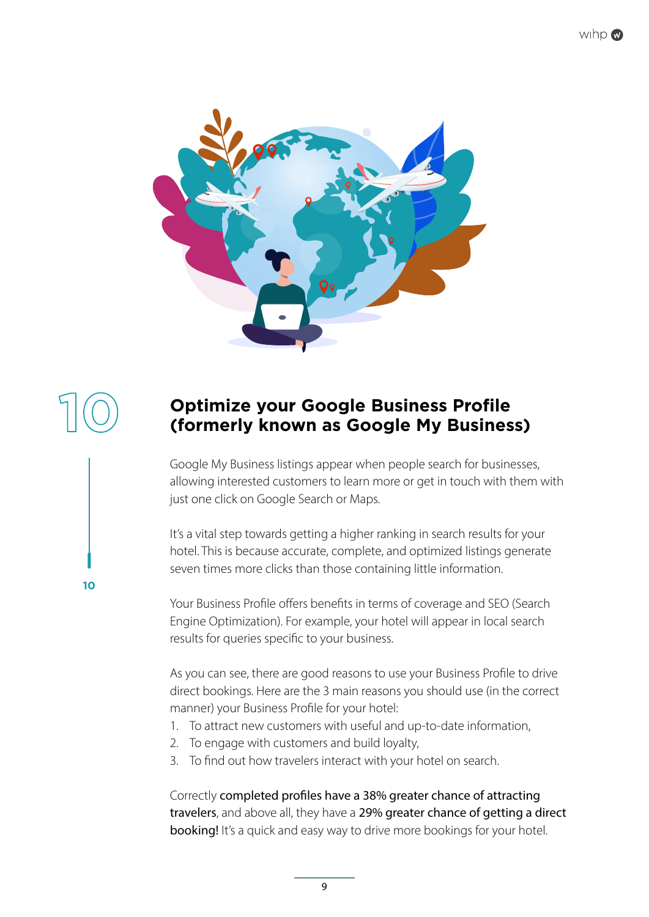





**10**

#### **Optimize your Google Business Profile (formerly known as Google My Business)**

Google My Business listings appear when people search for businesses, allowing interested customers to learn more or get in touch with them with just one click on Google Search or Maps.

It's a vital step towards getting a higher ranking in search results for your hotel. This is because accurate, complete, and optimized listings generate seven times more clicks than those containing little information.

Your Business Profile offers benefits in terms of coverage and SEO (Search Engine Optimization). For example, your hotel will appear in local search results for queries specific to your business.

As you can see, there are good reasons to use your Business Profile to drive direct bookings. Here are the 3 main reasons you should use (in the correct manner) your Business Profile for your hotel:

- 1. To attract new customers with useful and up-to-date information,
- 2. To engage with customers and build loyalty,
- 3. To find out how travelers interact with your hotel on search.

Correctly completed profiles have a 38% greater chance of attracting travelers, and above all, they have a 29% greater chance of getting a direct booking! It's a quick and easy way to drive more bookings for your hotel.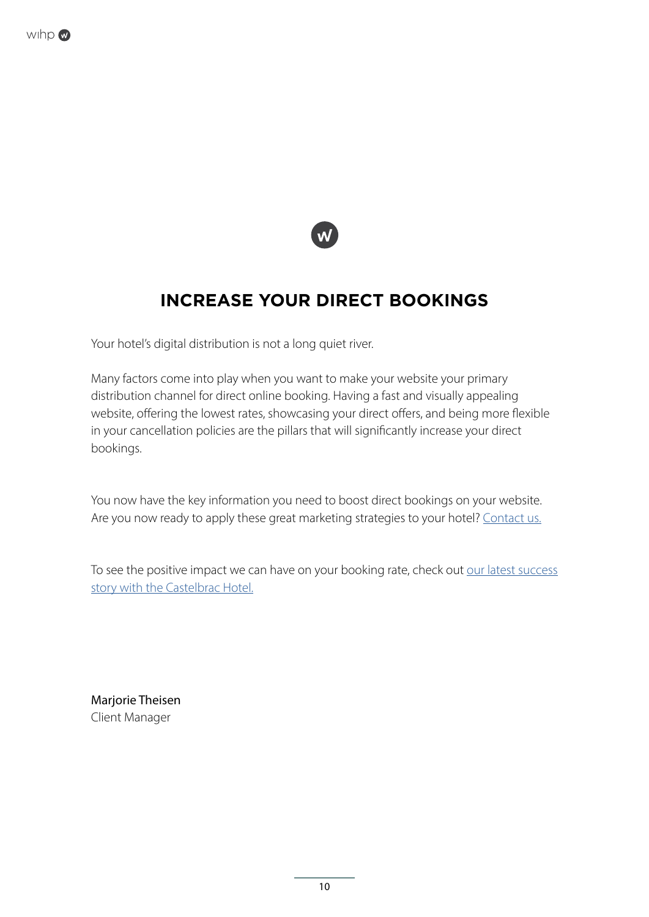



#### **INCREASE YOUR DIRECT BOOKINGS**

Your hotel's digital distribution is not a long quiet river.

Many factors come into play when you want to make your website your primary distribution channel for direct online booking. Having a fast and visually appealing website, offering the lowest rates, showcasing your direct offers, and being more flexible in your cancellation policies are the pillars that will significantly increase your direct bookings.

You now have the key information you need to boost direct bookings on your website. Are you now ready to apply these great marketing strategies to your hotel? [Contact us.](https://wihphotels.com/en/contact-us.html)

To see the positive impact we can have on your booking rate, check out our latest success [story with the Castelbrac Hotel.](https://wihphotels.devalias.com/download/case-study-castelbrac-2019-vs-2021-en-wihp.pdf)

Marjorie Theisen Client Manager